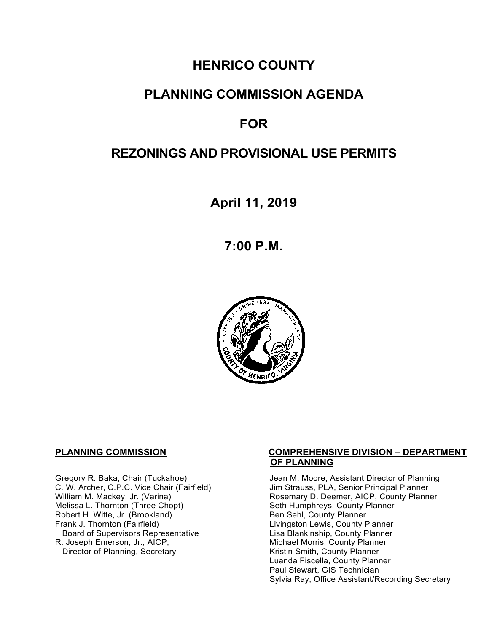# **HENRICO COUNTY**

# **PLANNING COMMISSION AGENDA**

# **FOR**

# **REZONINGS AND PROVISIONAL USE PERMITS**

**April 11, 2019**

**7:00 P.M.**



Melissa L. Thornton (Three Chopt) Seth Humphreys, County F<br>
Robert H. Witte, Jr. (Brookland) Seth Sehl, County Planner Robert H. Witte, Jr. (Brookland)<br>Frank J. Thornton (Fairfield) Board of Supervisors Representative Lisa Blankinship, County Planner<br>R. Joseph Emerson, Jr., AICP, Michael Morris, County Planner Director of Planning, Secretary

#### **PLANNING COMMISSION COMPREHENSIVE DIVISION – DEPARTMENT OF PLANNING**

Gregory R. Baka, Chair (Tuckahoe) Jean M. Moore, Assistant Director of Planning<br>C. W. Archer, C.P.C. Vice Chair (Fairfield) Jim Strauss, PLA, Senior Principal Planner C. W. Archer, C.P.C. Vice Chair (Fairfield) Jim Strauss, PLA, Senior Principal Planner<br>William M. Mackey, Jr. (Varina) Sand Chair Cosemary D. Deemer, AICP, County Planner Rosemary D. Deemer, AICP, County Planner<br>Seth Humphreys, County Planner Livingston Lewis, County Planner Michael Morris, County Planner<br>Kristin Smith, County Planner Luanda Fiscella, County Planner Paul Stewart, GIS Technician Sylvia Ray, Office Assistant/Recording Secretary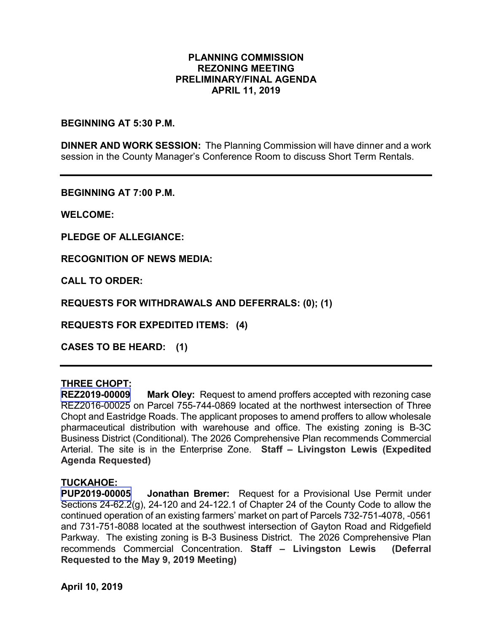## **PLANNING COMMISSION REZONING MEETING PRELIMINARY/FINAL AGENDA APRIL 11, 2019**

### **BEGINNING AT 5:30 P.M.**

**DINNER AND WORK SESSION:** The Planning Commission will have dinner and a work session in the County Manager's Conference Room to discuss Short Term Rentals.

**BEGINNING AT 7:00 P.M.**

**WELCOME:**

**PLEDGE OF ALLEGIANCE:**

**RECOGNITION OF NEWS MEDIA:**

**CALL TO ORDER:**

**REQUESTS FOR WITHDRAWALS AND DEFERRALS: (0); (1)**

**REQUESTS FOR EXPEDITED ITEMS: (4)**

**CASES TO BE HEARD: (1)**

## **THREE CHOPT:**

**REZ2019-00009 Mark Oley:** Request to amend proffers accepted with rezoning case REZ2016-00025 on Parcel 755-744-0869 located at the northwest intersection of Three Chopt and Eastridge Roads. The applicant proposes to amend proffers to allow wholesale pharmaceutical distribution with warehouse and office. The existing zoning is B-3C Business District (Conditional). The 2026 Comprehensive Plan recommends Commercial Arterial. The site is in the Enterprise Zone. **Staff – Livingston Lewis (Expedited Agenda Requested)**

### **TUCKAHOE:**

**PUP2019-00005 Jonathan Bremer:** Request for a Provisional Use Permit under Sections 24-62.2(g), 24-120 and 24-122.1 of Chapter 24 of the County Code to allow the continued operation of an existing farmers' market on part of Parcels 732-751-4078, -0561 and 731-751-8088 located at the southwest intersection of Gayton Road and Ridgefield Parkway. The existing zoning is B-3 Business District. The 2026 Comprehensive Plan recommends Commercial Concentration. **Staff – Livingston Lewis (Deferral Requested to the May 9, 2019 Meeting)**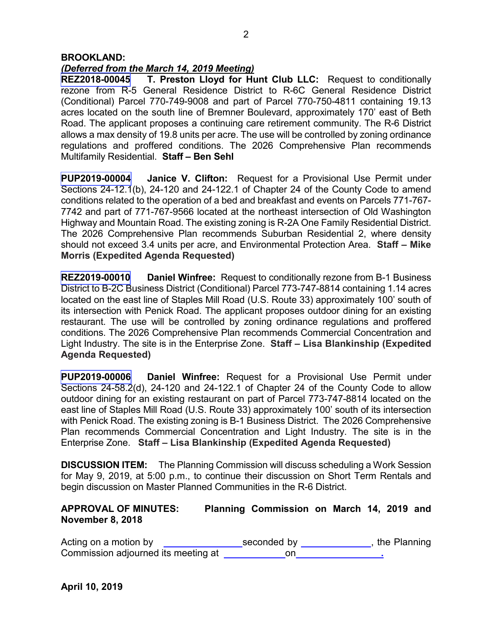## *(Deferred from the March 14, 2019 Meeting)*

**REZ2018-00045 T. Preston Lloyd for Hunt Club LLC:** Request to conditionally rezone from R-5 General Residence District to R-6C General Residence District (Conditional) Parcel 770-749-9008 and part of Parcel 770-750-4811 containing 19.13 acres located on the south line of Bremner Boulevard, approximately 170' east of Beth Road. The applicant proposes a continuing care retirement community. The R-6 District allows a max density of 19.8 units per acre. The use will be controlled by zoning ordinance regulations and proffered conditions. The 2026 Comprehensive Plan recommends Multifamily Residential. **Staff – Ben Sehl** 

**PUP2019-00004 Janice V. Clifton:** Request for a Provisional Use Permit under Sections 24-12.1(b), 24-120 and 24-122.1 of Chapter 24 of the County Code to amend conditions related to the operation of a bed and breakfast and events on Parcels 771-767- 7742 and part of 771-767-9566 located at the northeast intersection of Old Washington Highway and Mountain Road. The existing zoning is R-2A One Family Residential District. The 2026 Comprehensive Plan recommends Suburban Residential 2, where density should not exceed 3.4 units per acre, and Environmental Protection Area. **Staff – Mike Morris (Expedited Agenda Requested)**

**REZ2019-00010 Daniel Winfree:** Request to conditionally rezone from B-1 Business District to B-2C Business District (Conditional) Parcel 773-747-8814 containing 1.14 acres located on the east line of Staples Mill Road (U.S. Route 33) approximately 100' south of its intersection with Penick Road. The applicant proposes outdoor dining for an existing restaurant. The use will be controlled by zoning ordinance regulations and proffered conditions. The 2026 Comprehensive Plan recommends Commercial Concentration and Light Industry. The site is in the Enterprise Zone. **Staff – Lisa Blankinship (Expedited Agenda Requested)**

**PUP2019-00006 Daniel Winfree:** Request for a Provisional Use Permit under Sections 24-58.2(d), 24-120 and 24-122.1 of Chapter 24 of the County Code to allow outdoor dining for an existing restaurant on part of Parcel 773-747-8814 located on the east line of Staples Mill Road (U.S. Route 33) approximately 100' south of its intersection with Penick Road. The existing zoning is B-1 Business District. The 2026 Comprehensive Plan recommends Commercial Concentration and Light Industry. The site is in the Enterprise Zone. **Staff – Lisa Blankinship (Expedited Agenda Requested)**

**DISCUSSION ITEM:** The Planning Commission will discuss scheduling a Work Session for May 9, 2019, at 5:00 p.m., to continue their discussion on Short Term Rentals and begin discussion on Master Planned Communities in the R-6 District.

## **APPROVAL OF MINUTES: Planning Commission on March 14, 2019 and November 8, 2018**

Acting on a motion by  $\qquad \qquad$  seconded by **with an extract and planning** Commission adjourned its meeting aton **.**